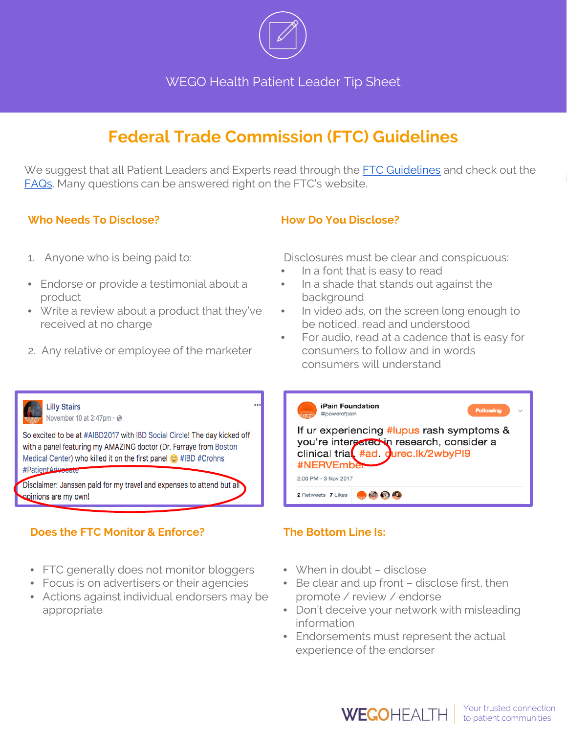

WEGO Health Patient Leader Tip Sheet

# **Federal Trade Commission (FTC) Guidelines**

We suggest that all Patient Leaders and Experts read through the [FTC Guidelines](https://www.ftc.gov/sites/default/files/attachments/press-releases/ftc-publishes-final-guides-governing-endorsements-testimonials/091005revisedendorsementguides.pdf) and check out the [FAQs.](https://www.ftc.gov/tips-advice/business-center/guidance/ftcs-endorsement-guides-what-people-are-asking) Many questions can be answered right on the FTC's website.

### **Who Needs To Disclose?**

### **How Do You Disclose?**

- 1. Anyone who is being paid to:
- Endorse or provide a testimonial about a product
- Write a review about a product that they've received at no charge
- 2. Any relative or employee of the marketer

Disclosures must be clear and conspicuous:

- In a font that is easy to read
- In a shade that stands out against the background
- In video ads, on the screen long enough to be noticed, read and understood
- For audio, read at a cadence that is easy for consumers to follow and in words consumers will understand



# **Does the FTC Monitor & Enforce?**

- FTC generally does not monitor bloggers
- Focus is on advertisers or their agencies
- Actions against individual endorsers may be appropriate

# **The Bottom Line Is:**

- When in doubt disclose
- Be clear and up front disclose first, then promote / review / endorse
- Don't deceive your network with misleading information
- Endorsements must represent the actual experience of the endorser